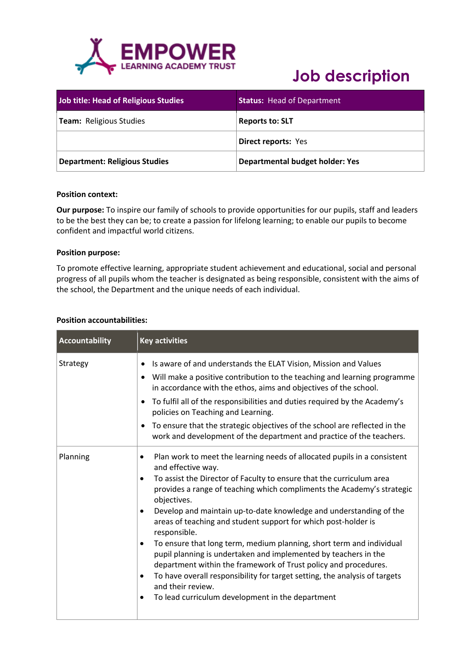

| <b>Job title: Head of Religious Studies</b> | <b>Status: Head of Department</b>      |
|---------------------------------------------|----------------------------------------|
| <b>Team:</b> Religious Studies              | <b>Reports to: SLT</b>                 |
|                                             | <b>Direct reports: Yes</b>             |
| <b>Department: Religious Studies</b>        | <b>Departmental budget holder: Yes</b> |

### **Position context:**

**Our purpose:** To inspire our family of schools to provide opportunities for our pupils, staff and leaders to be the best they can be; to create a passion for lifelong learning; to enable our pupils to become confident and impactful world citizens.

### **Position purpose:**

To promote effective learning, appropriate student achievement and educational, social and personal progress of all pupils whom the teacher is designated as being responsible, consistent with the aims of the school, the Department and the unique needs of each individual.

### **Position accountabilities:**

| Accountability | <b>Key activities</b>                                                                                                                                                                                                                                                                                                                                                                                                                                                                                                                                                                                                                                                                                                                                                                                                         |
|----------------|-------------------------------------------------------------------------------------------------------------------------------------------------------------------------------------------------------------------------------------------------------------------------------------------------------------------------------------------------------------------------------------------------------------------------------------------------------------------------------------------------------------------------------------------------------------------------------------------------------------------------------------------------------------------------------------------------------------------------------------------------------------------------------------------------------------------------------|
| Strategy       | Is aware of and understands the ELAT Vision, Mission and Values<br>Will make a positive contribution to the teaching and learning programme<br>٠<br>in accordance with the ethos, aims and objectives of the school.<br>To fulfil all of the responsibilities and duties required by the Academy's<br>policies on Teaching and Learning.<br>To ensure that the strategic objectives of the school are reflected in the<br>work and development of the department and practice of the teachers.                                                                                                                                                                                                                                                                                                                                |
| Planning       | Plan work to meet the learning needs of allocated pupils in a consistent<br>٠<br>and effective way.<br>To assist the Director of Faculty to ensure that the curriculum area<br>٠<br>provides a range of teaching which compliments the Academy's strategic<br>objectives.<br>Develop and maintain up-to-date knowledge and understanding of the<br>$\bullet$<br>areas of teaching and student support for which post-holder is<br>responsible.<br>To ensure that long term, medium planning, short term and individual<br>٠<br>pupil planning is undertaken and implemented by teachers in the<br>department within the framework of Trust policy and procedures.<br>To have overall responsibility for target setting, the analysis of targets<br>٠<br>and their review.<br>To lead curriculum development in the department |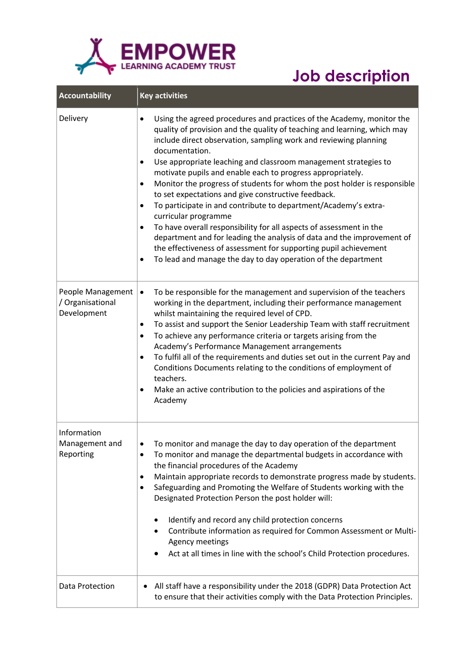

| <b>Accountability</b>                                | <b>Key activities</b>                                                                                                                                                                                                                                                                                                                                                                                                                                                                                                                                                                                                                                                                                                                                                                                                                                                                                                                         |
|------------------------------------------------------|-----------------------------------------------------------------------------------------------------------------------------------------------------------------------------------------------------------------------------------------------------------------------------------------------------------------------------------------------------------------------------------------------------------------------------------------------------------------------------------------------------------------------------------------------------------------------------------------------------------------------------------------------------------------------------------------------------------------------------------------------------------------------------------------------------------------------------------------------------------------------------------------------------------------------------------------------|
| Delivery                                             | Using the agreed procedures and practices of the Academy, monitor the<br>$\bullet$<br>quality of provision and the quality of teaching and learning, which may<br>include direct observation, sampling work and reviewing planning<br>documentation.<br>Use appropriate leaching and classroom management strategies to<br>$\bullet$<br>motivate pupils and enable each to progress appropriately.<br>Monitor the progress of students for whom the post holder is responsible<br>٠<br>to set expectations and give constructive feedback.<br>To participate in and contribute to department/Academy's extra-<br>$\bullet$<br>curricular programme<br>To have overall responsibility for all aspects of assessment in the<br>٠<br>department and for leading the analysis of data and the improvement of<br>the effectiveness of assessment for supporting pupil achievement<br>To lead and manage the day to day operation of the department |
| People Management<br>/ Organisational<br>Development | To be responsible for the management and supervision of the teachers<br>$\bullet$<br>working in the department, including their performance management<br>whilst maintaining the required level of CPD.<br>To assist and support the Senior Leadership Team with staff recruitment<br>٠<br>To achieve any performance criteria or targets arising from the<br>$\bullet$<br>Academy's Performance Management arrangements<br>To fulfil all of the requirements and duties set out in the current Pay and<br>$\bullet$<br>Conditions Documents relating to the conditions of employment of<br>teachers.<br>Make an active contribution to the policies and aspirations of the<br>$\bullet$<br>Academy                                                                                                                                                                                                                                           |
| Information<br>Management and<br>Reporting           | To monitor and manage the day to day operation of the department<br>To monitor and manage the departmental budgets in accordance with<br>٠<br>the financial procedures of the Academy<br>Maintain appropriate records to demonstrate progress made by students.<br>Safeguarding and Promoting the Welfare of Students working with the<br>٠<br>Designated Protection Person the post holder will:<br>Identify and record any child protection concerns<br>٠<br>Contribute information as required for Common Assessment or Multi-<br>Agency meetings<br>Act at all times in line with the school's Child Protection procedures.                                                                                                                                                                                                                                                                                                               |
| Data Protection                                      | All staff have a responsibility under the 2018 (GDPR) Data Protection Act<br>to ensure that their activities comply with the Data Protection Principles.                                                                                                                                                                                                                                                                                                                                                                                                                                                                                                                                                                                                                                                                                                                                                                                      |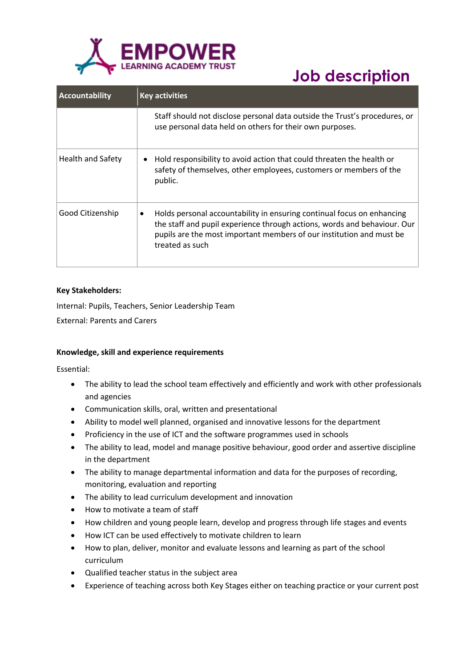

| <b>Accountability</b>    | <b>Key activities</b>                                                                                                                                                                                                                                      |
|--------------------------|------------------------------------------------------------------------------------------------------------------------------------------------------------------------------------------------------------------------------------------------------------|
|                          | Staff should not disclose personal data outside the Trust's procedures, or<br>use personal data held on others for their own purposes.                                                                                                                     |
| <b>Health and Safety</b> | Hold responsibility to avoid action that could threaten the health or<br>safety of themselves, other employees, customers or members of the<br>public.                                                                                                     |
| Good Citizenship         | Holds personal accountability in ensuring continual focus on enhancing<br>$\bullet$<br>the staff and pupil experience through actions, words and behaviour. Our<br>pupils are the most important members of our institution and must be<br>treated as such |

### **Key Stakeholders:**

Internal: Pupils, Teachers, Senior Leadership Team External: Parents and Carers

### **Knowledge, skill and experience requirements**

Essential:

- The ability to lead the school team effectively and efficiently and work with other professionals and agencies
- Communication skills, oral, written and presentational
- Ability to model well planned, organised and innovative lessons for the department
- Proficiency in the use of ICT and the software programmes used in schools
- The ability to lead, model and manage positive behaviour, good order and assertive discipline in the department
- The ability to manage departmental information and data for the purposes of recording, monitoring, evaluation and reporting
- The ability to lead curriculum development and innovation
- How to motivate a team of staff
- How children and young people learn, develop and progress through life stages and events
- How ICT can be used effectively to motivate children to learn
- How to plan, deliver, monitor and evaluate lessons and learning as part of the school curriculum
- Qualified teacher status in the subject area
- Experience of teaching across both Key Stages either on teaching practice or your current post